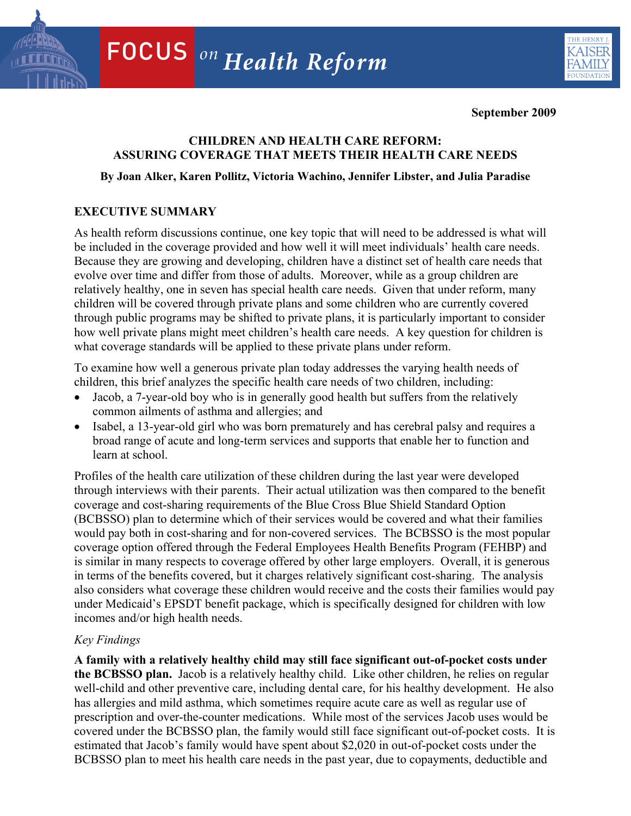

**September 2009** 

## **CHILDREN AND HEALTH CARE REFORM: ASSURING COVERAGE THAT MEETS THEIR HEALTH CARE NEEDS**

## **By Joan Alker, Karen Pollitz, Victoria Wachino, Jennifer Libster, and Julia Paradise**

# **EXECUTIVE SUMMARY**

As health reform discussions continue, one key topic that will need to be addressed is what will be included in the coverage provided and how well it will meet individuals' health care needs. Because they are growing and developing, children have a distinct set of health care needs that evolve over time and differ from those of adults. Moreover, while as a group children are relatively healthy, one in seven has special health care needs. Given that under reform, many children will be covered through private plans and some children who are currently covered through public programs may be shifted to private plans, it is particularly important to consider how well private plans might meet children's health care needs. A key question for children is what coverage standards will be applied to these private plans under reform.

To examine how well a generous private plan today addresses the varying health needs of children, this brief analyzes the specific health care needs of two children, including:

- Jacob, a 7-year-old boy who is in generally good health but suffers from the relatively common ailments of asthma and allergies; and
- Isabel, a 13-year-old girl who was born prematurely and has cerebral palsy and requires a broad range of acute and long-term services and supports that enable her to function and learn at school.

Profiles of the health care utilization of these children during the last year were developed through interviews with their parents. Their actual utilization was then compared to the benefit coverage and cost-sharing requirements of the Blue Cross Blue Shield Standard Option (BCBSSO) plan to determine which of their services would be covered and what their families would pay both in cost-sharing and for non-covered services. The BCBSSO is the most popular coverage option offered through the Federal Employees Health Benefits Program (FEHBP) and is similar in many respects to coverage offered by other large employers. Overall, it is generous in terms of the benefits covered, but it charges relatively significant cost-sharing. The analysis also considers what coverage these children would receive and the costs their families would pay under Medicaid's EPSDT benefit package, which is specifically designed for children with low incomes and/or high health needs.

## *Key Findings*

estimated that Jacob's family would have spent about \$2,020 in out-of-pocket costs under the BCBSSO plan to meet his health care needs in the past year, due to copayments, deductible and **A family with a relatively healthy child may still face significant out-of-pocket costs under the BCBSSO plan.** Jacob is a relatively healthy child. Like other children, he relies on regular well-child and other preventive care, including dental care, for his healthy development. He also has allergies and mild asthma, which sometimes require acute care as well as regular use of prescription and over-the-counter medications. While most of the services Jacob uses would be covered under the BCBSSO plan, the family would still face significant out-of-pocket costs. It is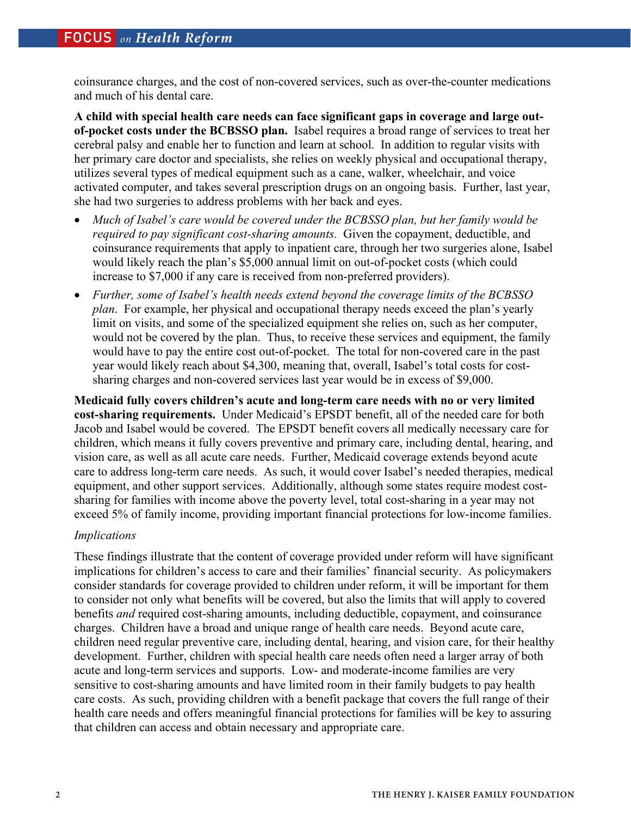coinsurance charges, and the cost of non-covered services, such as over-the-counter medications and much of his dental care.

**A child with special health care needs can face significant gaps in coverage and large outof-pocket costs under the BCBSSO plan.** Isabel requires a broad range of services to treat her cerebral palsy and enable her to function and learn at school. In addition to regular visits with her primary care doctor and specialists, she relies on weekly physical and occupational therapy, utilizes several types of medical equipment such as a cane, walker, wheelchair, and voice activated computer, and takes several prescription drugs on an ongoing basis. Further, last year, she had two surgeries to address problems with her back and eyes.

- *Much of Isabel's care would be covered under the BCBSSO plan, but her family would be required to pay significant cost-sharing amounts.* Given the copayment, deductible, and coinsurance requirements that apply to inpatient care, through her two surgeries alone, Isabel would likely reach the plan's \$5,000 annual limit on out-of-pocket costs (which could increase to \$7,000 if any care is received from non-preferred providers).
- *Further, some of Isabel's health needs extend beyond the coverage limits of the BCBSSO plan*. For example, her physical and occupational therapy needs exceed the plan's yearly limit on visits, and some of the specialized equipment she relies on, such as her computer, would not be covered by the plan. Thus, to receive these services and equipment, the family would have to pay the entire cost out-of-pocket. The total for non-covered care in the past year would likely reach about \$4,300, meaning that, overall, Isabel's total costs for costsharing charges and non-covered services last year would be in excess of \$9,000.

**Medicaid fully covers children's acute and long-term care needs with no or very limited cost-sharing requirements.** Under Medicaid's EPSDT benefit, all of the needed care for both Jacob and Isabel would be covered. The EPSDT benefit covers all medically necessary care for children, which means it fully covers preventive and primary care, including dental, hearing, and vision care, as well as all acute care needs. Further, Medicaid coverage extends beyond acute care to address long-term care needs. As such, it would cover Isabel's needed therapies, medical equipment, and other support services. Additionally, although some states require modest costsharing for families with income above the poverty level, total cost-sharing in a year may not exceed 5% of family income, providing important financial protections for low-income families.

## *Implications*

These findings illustrate that the content of coverage provided under reform will have significant implications for children's access to care and their families' financial security. As policymakers consider standards for coverage provided to children under reform, it will be important for them to consider not only what benefits will be covered, but also the limits that will apply to covered benefits *and* required cost-sharing amounts, including deductible, copayment, and coinsurance charges. Children have a broad and unique range of health care needs. Beyond acute care, children need regular preventive care, including dental, hearing, and vision care, for their healthy development. Further, children with special health care needs often need a larger array of both acute and long-term services and supports. Low- and moderate-income families are very sensitive to cost-sharing amounts and have limited room in their family budgets to pay health care costs. As such, providing children with a benefit package that covers the full range of their health care needs and offers meaningful financial protections for families will be key to assuring that children can access and obtain necessary and appropriate care.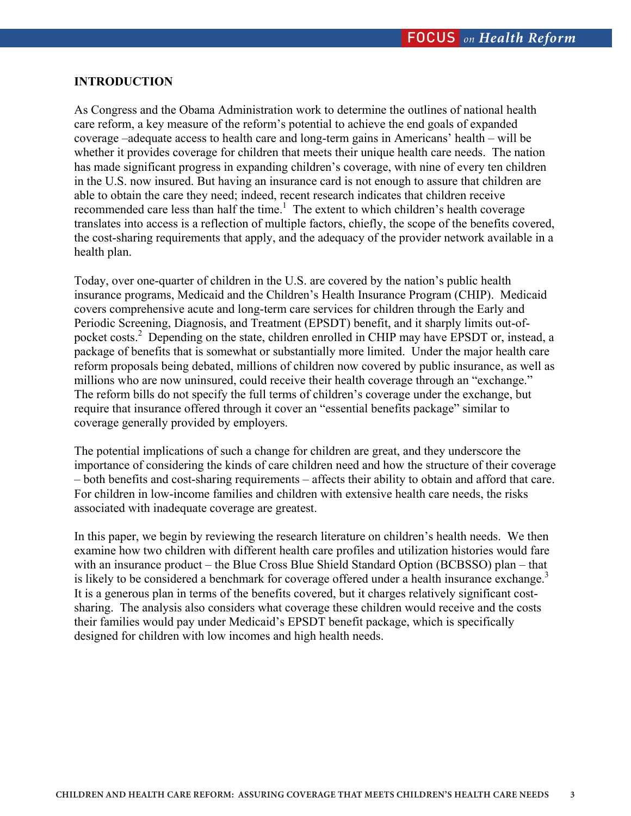## **INTRODUCTION**

As Congress and the Obama Administration work to determine the outlines of national health care reform, a key measure of the reform's potential to achieve the end goals of expanded coverage –adequate access to health care and long-term gains in Americans' health – will be whether it provides coverage for children that meets their unique health care needs. The nation has made significant progress in expanding children's coverage, with nine of every ten children in the U.S. now insured. But having an insurance card is not enough to assure that children are able to obtain the care they need; indeed, recent research indicates that children receive recommended care less than half the time.<sup>1</sup> The extent to which children's health coverage translates into access is a reflection of multiple factors, chiefly, the scope of the benefits covered, the cost-sharing requirements that apply, and the adequacy of the provider network available in a health plan.

Today, over one-quarter of children in the U.S. are covered by the nation's public health insurance programs, Medicaid and the Children's Health Insurance Program (CHIP). Medicaid covers comprehensive acute and long-term care services for children through the Early and Periodic Screening, Diagnosis, and Treatment (EPSDT) benefit, and it sharply limits out-ofpocket costs.<sup>2</sup> Depending on the state, children enrolled in CHIP may have EPSDT or, instead, a package of benefits that is somewhat or substantially more limited. Under the major health care reform proposals being debated, millions of children now covered by public insurance, as well as millions who are now uninsured, could receive their health coverage through an "exchange." The reform bills do not specify the full terms of children's coverage under the exchange, but require that insurance offered through it cover an "essential benefits package" similar to coverage generally provided by employers.

The potential implications of such a change for children are great, and they underscore the importance of considering the kinds of care children need and how the structure of their coverage – both benefits and cost-sharing requirements – affects their ability to obtain and afford that care. For children in low-income families and children with extensive health care needs, the risks associated with inadequate coverage are greatest.

In this paper, we begin by reviewing the research literature on children's health needs. We then examine how two children with different health care profiles and utilization histories would fare with an insurance product – the Blue Cross Blue Shield Standard Option (BCBSSO) plan – that is likely to be considered a benchmark for coverage offered under a health insurance exchange.<sup>3</sup> It is a generous plan in terms of the benefits covered, but it charges relatively significant costsharing. The analysis also considers what coverage these children would receive and the costs their families would pay under Medicaid's EPSDT benefit package, which is specifically designed for children with low incomes and high health needs.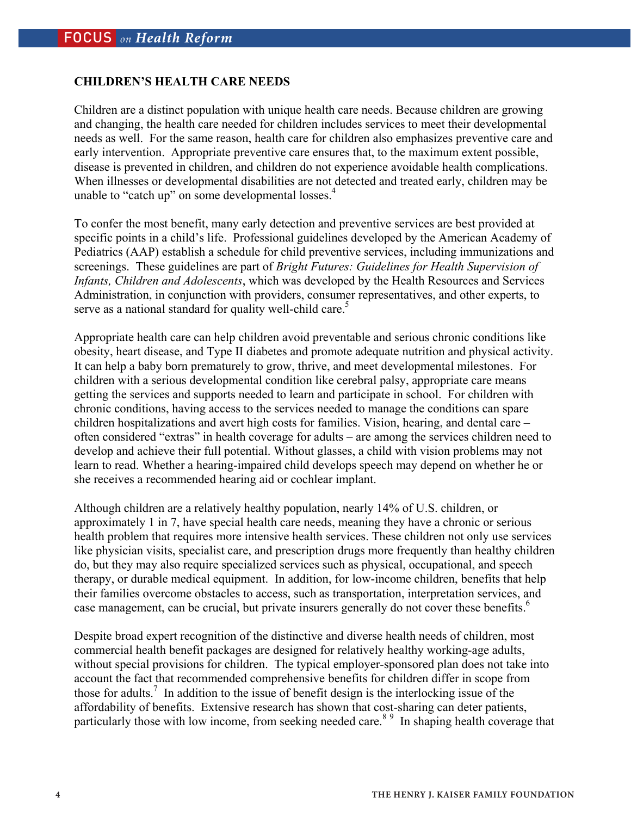### **CHILDREN'S HEALTH CARE NEEDS**

Children are a distinct population with unique health care needs. Because children are growing and changing, the health care needed for children includes services to meet their developmental needs as well. For the same reason, health care for children also emphasizes preventive care and early intervention. Appropriate preventive care ensures that, to the maximum extent possible, disease is prevented in children, and children do not experience avoidable health complications. When illnesses or developmental disabilities are not detected and treated early, children may be unable to "catch up" on some developmental losses.<sup>4</sup>

To confer the most benefit, many early detection and preventive services are best provided at specific points in a child's life. Professional guidelines developed by the American Academy of Pediatrics (AAP) establish a schedule for child preventive services, including immunizations and screenings. These guidelines are part of *Bright Futures: Guidelines for Health Supervision of Infants, Children and Adolescents*, which was developed by the Health Resources and Services Administration, in conjunction with providers, consumer representatives, and other experts, to serve as a national standard for quality well-child care.<sup>5</sup>

Appropriate health care can help children avoid preventable and serious chronic conditions like obesity, heart disease, and Type II diabetes and promote adequate nutrition and physical activity. It can help a baby born prematurely to grow, thrive, and meet developmental milestones. For children with a serious developmental condition like cerebral palsy, appropriate care means getting the services and supports needed to learn and participate in school. For children with chronic conditions, having access to the services needed to manage the conditions can spare children hospitalizations and avert high costs for families. Vision, hearing, and dental care – often considered "extras" in health coverage for adults – are among the services children need to develop and achieve their full potential. Without glasses, a child with vision problems may not learn to read. Whether a hearing-impaired child develops speech may depend on whether he or she receives a recommended hearing aid or cochlear implant.

Although children are a relatively healthy population, nearly 14% of U.S. children, or approximately 1 in 7, have special health care needs, meaning they have a chronic or serious health problem that requires more intensive health services. These children not only use services like physician visits, specialist care, and prescription drugs more frequently than healthy children do, but they may also require specialized services such as physical, occupational, and speech therapy, or durable medical equipment. In addition, for low-income children, benefits that help their families overcome obstacles to access, such as transportation, interpretation services, and case management, can be crucial, but private insurers generally do not cover these benefits.<sup>6</sup>

Despite broad expert recognition of the distinctive and diverse health needs of children, most commercial health benefit packages are designed for relatively healthy working-age adults, without special provisions for children. The typical employer-sponsored plan does not take into account the fact that recommended comprehensive benefits for children differ in scope from those for adults.<sup>7</sup> In addition to the issue of benefit design is the interlocking issue of the affordability of benefits. Extensive research has shown that cost-sharing can deter patients, particularly those with low income, from seeking needed care.<sup>89</sup> In shaping health coverage that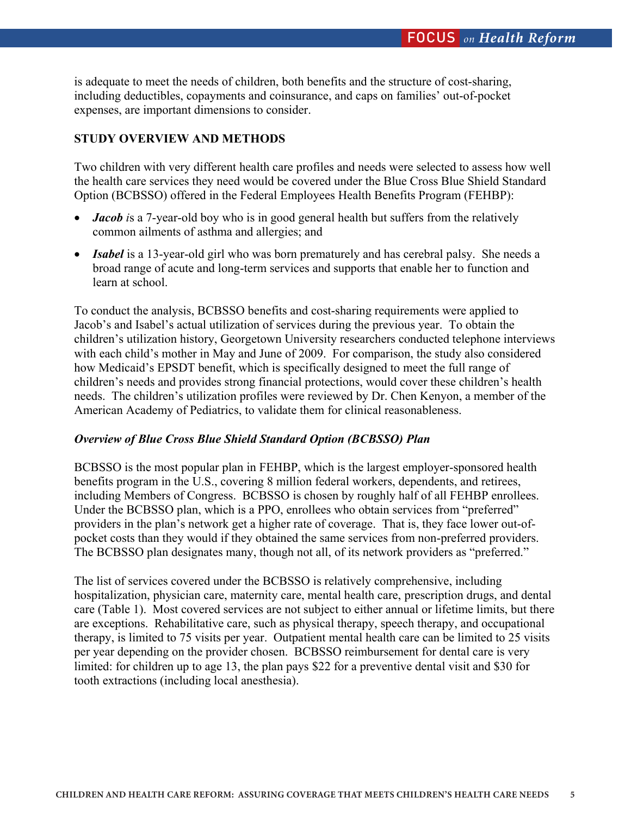is adequate to meet the needs of children, both benefits and the structure of cost-sharing, including deductibles, copayments and coinsurance, and caps on families' out-of-pocket expenses, are important dimensions to consider.

## **STUDY OVERVIEW AND METHODS**

Two children with very different health care profiles and needs were selected to assess how well the health care services they need would be covered under the Blue Cross Blue Shield Standard Option (BCBSSO) offered in the Federal Employees Health Benefits Program (FEHBP):

- *Jacob* is a 7-year-old boy who is in good general health but suffers from the relatively common ailments of asthma and allergies; and
- *Isabel* is a 13-year-old girl who was born prematurely and has cerebral palsy. She needs a broad range of acute and long-term services and supports that enable her to function and learn at school.

To conduct the analysis, BCBSSO benefits and cost-sharing requirements were applied to Jacob's and Isabel's actual utilization of services during the previous year. To obtain the children's utilization history, Georgetown University researchers conducted telephone interviews with each child's mother in May and June of 2009. For comparison, the study also considered how Medicaid's EPSDT benefit, which is specifically designed to meet the full range of children's needs and provides strong financial protections, would cover these children's health needs. The children's utilization profiles were reviewed by Dr. Chen Kenyon, a member of the American Academy of Pediatrics, to validate them for clinical reasonableness.

## *Overview of Blue Cross Blue Shield Standard Option (BCBSSO) Plan*

BCBSSO is the most popular plan in FEHBP, which is the largest employer-sponsored health benefits program in the U.S., covering 8 million federal workers, dependents, and retirees, including Members of Congress. BCBSSO is chosen by roughly half of all FEHBP enrollees. Under the BCBSSO plan, which is a PPO, enrollees who obtain services from "preferred" providers in the plan's network get a higher rate of coverage. That is, they face lower out-ofpocket costs than they would if they obtained the same services from non-preferred providers. The BCBSSO plan designates many, though not all, of its network providers as "preferred."

The list of services covered under the BCBSSO is relatively comprehensive, including hospitalization, physician care, maternity care, mental health care, prescription drugs, and dental care (Table 1). Most covered services are not subject to either annual or lifetime limits, but there are exceptions. Rehabilitative care, such as physical therapy, speech therapy, and occupational therapy, is limited to 75 visits per year. Outpatient mental health care can be limited to 25 visits per year depending on the provider chosen. BCBSSO reimbursement for dental care is very limited: for children up to age 13, the plan pays \$22 for a preventive dental visit and \$30 for tooth extractions (including local anesthesia).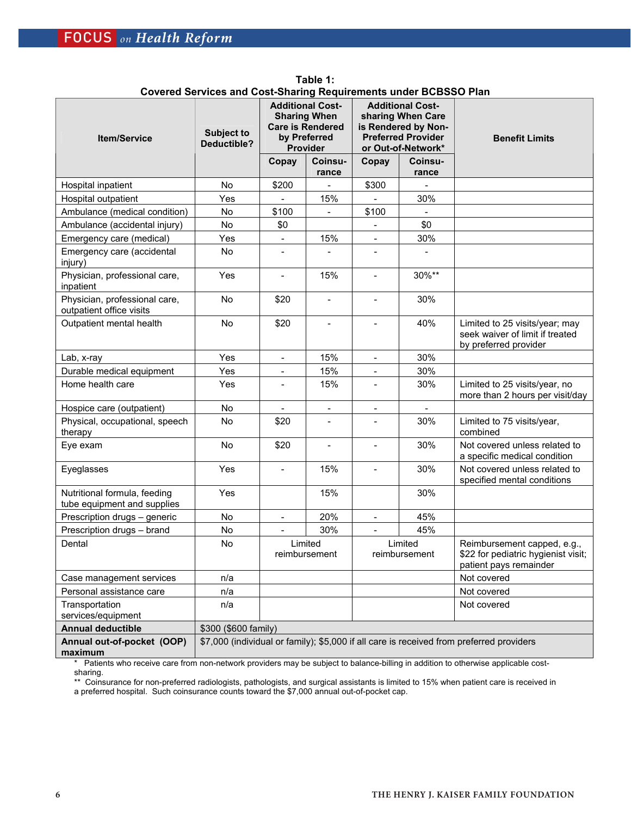| <b>Item/Service</b>                                         | <b>Subject to</b><br>Deductible? | <b>Additional Cost-</b><br><b>Sharing When</b><br><b>Care is Rendered</b><br>by Preferred<br>Provider |                          | <b>Additional Cost-</b><br>sharing When Care<br>is Rendered by Non-<br><b>Preferred Provider</b><br>or Out-of-Network* |                          | <b>Benefit Limits</b>                                                                        |
|-------------------------------------------------------------|----------------------------------|-------------------------------------------------------------------------------------------------------|--------------------------|------------------------------------------------------------------------------------------------------------------------|--------------------------|----------------------------------------------------------------------------------------------|
|                                                             |                                  | Copay                                                                                                 | Coinsu-<br>rance         | Copay                                                                                                                  | Coinsu-<br>rance         |                                                                                              |
| Hospital inpatient                                          | No                               | \$200                                                                                                 |                          | \$300                                                                                                                  | $\overline{\phantom{a}}$ |                                                                                              |
| Hospital outpatient                                         | Yes                              | $\blacksquare$                                                                                        | 15%                      | $\overline{\phantom{0}}$                                                                                               | 30%                      |                                                                                              |
| Ambulance (medical condition)                               | No                               | \$100                                                                                                 |                          | \$100                                                                                                                  | $\overline{\phantom{a}}$ |                                                                                              |
| Ambulance (accidental injury)                               | No                               | \$0                                                                                                   |                          |                                                                                                                        | \$0                      |                                                                                              |
| Emergency care (medical)                                    | Yes                              | $\blacksquare$                                                                                        | 15%                      | $\overline{\phantom{a}}$                                                                                               | 30%                      |                                                                                              |
| Emergency care (accidental<br>injury)                       | No                               |                                                                                                       |                          |                                                                                                                        |                          |                                                                                              |
| Physician, professional care,<br>inpatient                  | Yes                              | $\overline{a}$                                                                                        | 15%                      | $\overline{a}$                                                                                                         | 30%**                    |                                                                                              |
| Physician, professional care,<br>outpatient office visits   | <b>No</b>                        | \$20                                                                                                  | $\overline{\phantom{a}}$ | $\overline{\phantom{0}}$                                                                                               | 30%                      |                                                                                              |
| Outpatient mental health                                    | No                               | \$20                                                                                                  | $\overline{\phantom{a}}$ | $\overline{a}$                                                                                                         | 40%                      | Limited to 25 visits/year; may<br>seek waiver of limit if treated<br>by preferred provider   |
| Lab, x-ray                                                  | Yes                              | $\overline{\phantom{a}}$                                                                              | 15%                      | $\blacksquare$                                                                                                         | 30%                      |                                                                                              |
| Durable medical equipment                                   | Yes                              | $\overline{\phantom{a}}$                                                                              | 15%                      | $\blacksquare$                                                                                                         | 30%                      |                                                                                              |
| Home health care                                            | Yes                              | $\overline{\phantom{a}}$                                                                              | 15%                      | $\qquad \qquad -$                                                                                                      | 30%                      | Limited to 25 visits/year, no<br>more than 2 hours per visit/day                             |
| Hospice care (outpatient)                                   | No                               | $\blacksquare$                                                                                        | $\blacksquare$           | $\overline{\phantom{a}}$                                                                                               | $\overline{\phantom{a}}$ |                                                                                              |
| Physical, occupational, speech<br>therapy                   | <b>No</b>                        | \$20                                                                                                  | $\overline{\phantom{a}}$ | $\qquad \qquad -$                                                                                                      | 30%                      | Limited to 75 visits/year,<br>combined                                                       |
| Eye exam                                                    | No                               | \$20                                                                                                  | $\blacksquare$           | $\frac{1}{2}$                                                                                                          | 30%                      | Not covered unless related to<br>a specific medical condition                                |
| Eyeglasses                                                  | Yes                              | $\overline{\phantom{a}}$                                                                              | 15%                      | $\overline{\phantom{0}}$                                                                                               | 30%                      | Not covered unless related to<br>specified mental conditions                                 |
| Nutritional formula, feeding<br>tube equipment and supplies | Yes                              |                                                                                                       | 15%                      |                                                                                                                        | 30%                      |                                                                                              |
| Prescription drugs - generic                                | No                               | $\overline{\phantom{a}}$                                                                              | 20%                      | $\overline{\phantom{0}}$                                                                                               | 45%                      |                                                                                              |
| Prescription drugs - brand                                  | No                               |                                                                                                       | 30%                      |                                                                                                                        | 45%                      |                                                                                              |
| Dental                                                      | No                               | Limited<br>reimbursement                                                                              |                          | Limited<br>reimbursement                                                                                               |                          | Reimbursement capped, e.g.,<br>\$22 for pediatric hygienist visit;<br>patient pays remainder |
| Case management services                                    | n/a                              |                                                                                                       |                          |                                                                                                                        |                          | Not covered                                                                                  |
| Personal assistance care                                    | n/a                              |                                                                                                       |                          |                                                                                                                        |                          | Not covered                                                                                  |
| Transportation<br>services/equipment                        | n/a                              |                                                                                                       |                          |                                                                                                                        |                          | Not covered                                                                                  |
| <b>Annual deductible</b>                                    | \$300 (\$600 family)             |                                                                                                       |                          |                                                                                                                        |                          |                                                                                              |
| Annual out-of-pocket (OOP)<br>maximum                       |                                  |                                                                                                       |                          |                                                                                                                        |                          | \$7,000 (individual or family); \$5,000 if all care is received from preferred providers     |

**Table 1: Covered Services and Cost-Sharing Requirements under BCBSSO Plan** 

\* Patients who receive care from non-network providers may be subject to balance-billing in addition to otherwise applicable costsharing.

\*\* Coinsurance for non-preferred radiologists, pathologists, and surgical assistants is limited to 15% when patient care is received in a preferred hospital. Such coinsurance counts toward the \$7,000 annual out-of-pocket cap.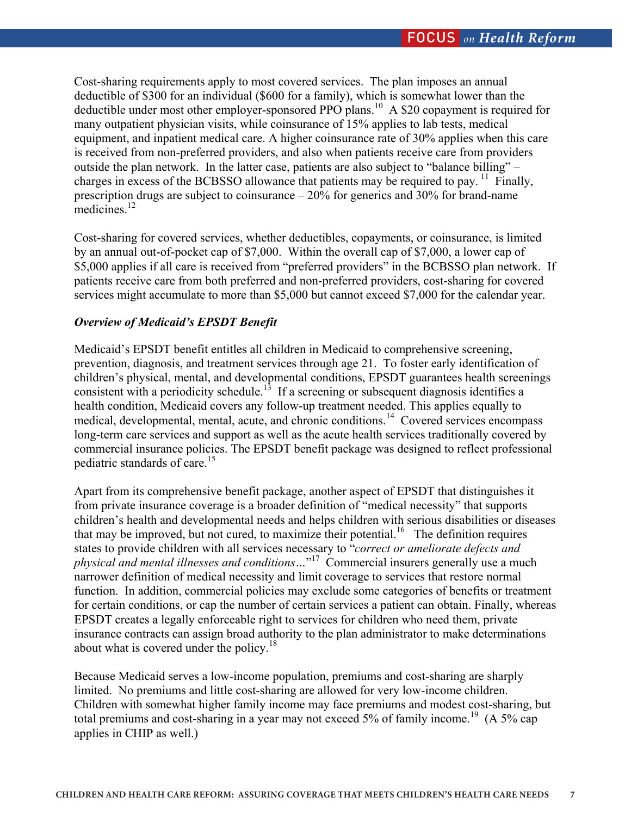Cost-sharing requirements apply to most covered services. The plan imposes an annual deductible of \$300 for an individual (\$600 for a family), which is somewhat lower than the deductible under most other employer-sponsored PPO plans.<sup>10</sup> A \$20 copayment is required for many outpatient physician visits, while coinsurance of 15% applies to lab tests, medical equipment, and inpatient medical care. A higher coinsurance rate of 30% applies when this care is received from non-preferred providers, and also when patients receive care from providers outside the plan network. In the latter case, patients are also subject to "balance billing" – charges in excess of the BCBSSO allowance that patients may be required to pay.  $\frac{11}{11}$  Finally, prescription drugs are subject to coinsurance – 20% for generics and 30% for brand-name medicines $12$ 

Cost-sharing for covered services, whether deductibles, copayments, or coinsurance, is limited by an annual out-of-pocket cap of \$7,000. Within the overall cap of \$7,000, a lower cap of \$5,000 applies if all care is received from "preferred providers" in the BCBSSO plan network. If patients receive care from both preferred and non-preferred providers, cost-sharing for covered services might accumulate to more than \$5,000 but cannot exceed \$7,000 for the calendar year.

### *Overview of Medicaid's EPSDT Benefit*

Medicaid's EPSDT benefit entitles all children in Medicaid to comprehensive screening, prevention, diagnosis, and treatment services through age 21. To foster early identification of children's physical, mental, and developmental conditions, EPSDT guarantees health screenings consistent with a periodicity schedule.<sup>13</sup> If a screening or subsequent diagnosis identifies a health condition, Medicaid covers any follow-up treatment needed. This applies equally to medical, developmental, mental, acute, and chronic conditions.14 Covered services encompass long-term care services and support as well as the acute health services traditionally covered by commercial insurance policies. The EPSDT benefit package was designed to reflect professional pediatric standards of care.<sup>15</sup>

Apart from its comprehensive benefit package, another aspect of EPSDT that distinguishes it from private insurance coverage is a broader definition of "medical necessity" that supports children's health and developmental needs and helps children with serious disabilities or diseases that may be improved, but not cured, to maximize their potential.<sup>16</sup> The definition requires states to provide children with all services necessary to "*correct or ameliorate defects and physical and mental illnesses and conditions…*" 17 Commercial insurers generally use a much narrower definition of medical necessity and limit coverage to services that restore normal function. In addition, commercial policies may exclude some categories of benefits or treatment for certain conditions, or cap the number of certain services a patient can obtain. Finally, whereas EPSDT creates a legally enforceable right to services for children who need them, private insurance contracts can assign broad authority to the plan administrator to make determinations about what is covered under the policy.<sup>18</sup>

Because Medicaid serves a low-income population, premiums and cost-sharing are sharply limited. No premiums and little cost-sharing are allowed for very low-income children. Children with somewhat higher family income may face premiums and modest cost-sharing, but total premiums and cost-sharing in a year may not exceed 5% of family income.<sup>19</sup>  $(A 5\%$  cap applies in CHIP as well.)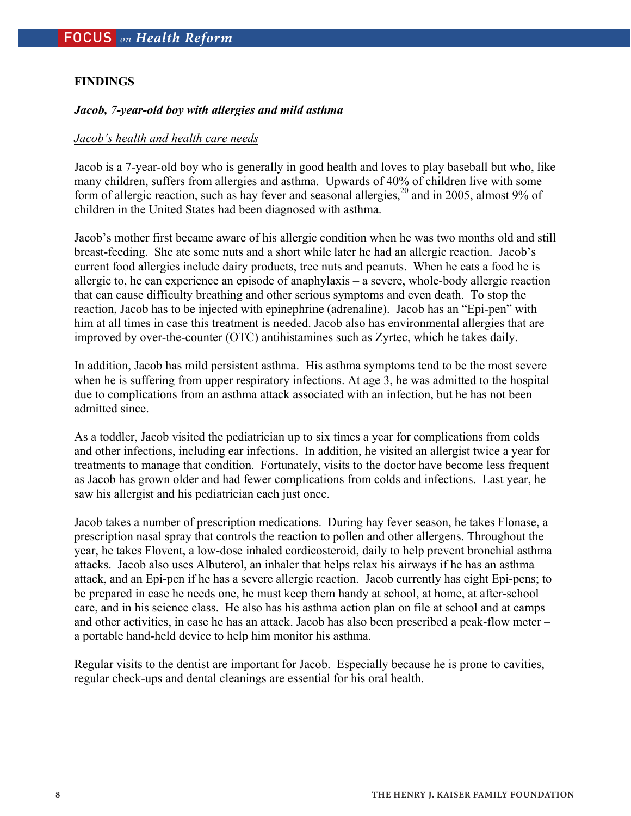### **FINDINGS**

### *Jacob, 7-year-old boy with allergies and mild asthma*

#### *Jacob's health and health care needs*

Jacob is a 7-year-old boy who is generally in good health and loves to play baseball but who, like many children, suffers from allergies and asthma. Upwards of 40% of children live with some form of allergic reaction, such as hay fever and seasonal allergies,  $^{20}$  and in 2005, almost 9% of children in the United States had been diagnosed with asthma.

Jacob's mother first became aware of his allergic condition when he was two months old and still breast-feeding. She ate some nuts and a short while later he had an allergic reaction. Jacob's current food allergies include dairy products, tree nuts and peanuts. When he eats a food he is allergic to, he can experience an episode of anaphylaxis – a severe, whole-body allergic reaction that can cause difficulty breathing and other serious symptoms and even death. To stop the reaction, Jacob has to be injected with epinephrine (adrenaline). Jacob has an "Epi-pen" with him at all times in case this treatment is needed. Jacob also has environmental allergies that are improved by over-the-counter (OTC) antihistamines such as Zyrtec, which he takes daily.

In addition, Jacob has mild persistent asthma. His asthma symptoms tend to be the most severe when he is suffering from upper respiratory infections. At age 3, he was admitted to the hospital due to complications from an asthma attack associated with an infection, but he has not been admitted since.

As a toddler, Jacob visited the pediatrician up to six times a year for complications from colds and other infections, including ear infections. In addition, he visited an allergist twice a year for treatments to manage that condition. Fortunately, visits to the doctor have become less frequent as Jacob has grown older and had fewer complications from colds and infections. Last year, he saw his allergist and his pediatrician each just once.

Jacob takes a number of prescription medications. During hay fever season, he takes Flonase, a prescription nasal spray that controls the reaction to pollen and other allergens. Throughout the year, he takes Flovent, a low-dose inhaled cordicosteroid, daily to help prevent bronchial asthma attacks. Jacob also uses Albuterol, an inhaler that helps relax his airways if he has an asthma attack, and an Epi-pen if he has a severe allergic reaction. Jacob currently has eight Epi-pens; to be prepared in case he needs one, he must keep them handy at school, at home, at after-school care, and in his science class. He also has his asthma action plan on file at school and at camps and other activities, in case he has an attack. Jacob has also been prescribed a peak-flow meter – a portable hand-held device to help him monitor his asthma.

Regular visits to the dentist are important for Jacob. Especially because he is prone to cavities, regular check-ups and dental cleanings are essential for his oral health.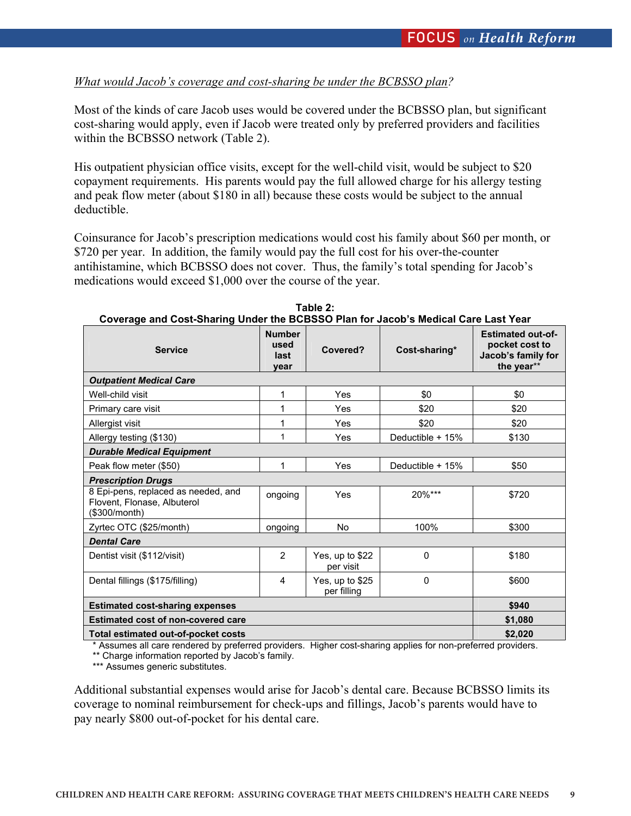## *What would Jacob's coverage and cost-sharing be under the BCBSSO plan?*

Most of the kinds of care Jacob uses would be covered under the BCBSSO plan, but significant cost-sharing would apply, even if Jacob were treated only by preferred providers and facilities within the BCBSSO network (Table 2).

His outpatient physician office visits, except for the well-child visit, would be subject to \$20 copayment requirements. His parents would pay the full allowed charge for his allergy testing and peak flow meter (about \$180 in all) because these costs would be subject to the annual deductible.

Coinsurance for Jacob's prescription medications would cost his family about \$60 per month, or \$720 per year. In addition, the family would pay the full cost for his over-the-counter antihistamine, which BCBSSO does not cover. Thus, the family's total spending for Jacob's medications would exceed \$1,000 over the course of the year.

| Coverage and Cost-Sharing Under the BCBSSO Plan for Jacob's Medical Care Last Tear  |                                       |                                |                  |                                                                                |  |  |  |  |
|-------------------------------------------------------------------------------------|---------------------------------------|--------------------------------|------------------|--------------------------------------------------------------------------------|--|--|--|--|
| <b>Service</b>                                                                      | <b>Number</b><br>used<br>last<br>vear | Covered?                       | Cost-sharing*    | <b>Estimated out-of-</b><br>pocket cost to<br>Jacob's family for<br>the year** |  |  |  |  |
| <b>Outpatient Medical Care</b>                                                      |                                       |                                |                  |                                                                                |  |  |  |  |
| Well-child visit                                                                    | 1                                     | Yes                            | \$0              | \$0                                                                            |  |  |  |  |
| Primary care visit                                                                  | 1                                     | Yes                            | \$20             | \$20                                                                           |  |  |  |  |
| Allergist visit                                                                     | 1                                     | Yes                            | \$20             | \$20                                                                           |  |  |  |  |
| Allergy testing (\$130)                                                             | 1                                     | Yes                            | Deductible + 15% | \$130                                                                          |  |  |  |  |
| <b>Durable Medical Equipment</b>                                                    |                                       |                                |                  |                                                                                |  |  |  |  |
| Peak flow meter (\$50)                                                              | 1                                     | Yes                            | Deductible + 15% | \$50                                                                           |  |  |  |  |
| <b>Prescription Drugs</b>                                                           |                                       |                                |                  |                                                                                |  |  |  |  |
| 8 Epi-pens, replaced as needed, and<br>Flovent, Flonase, Albuterol<br>(\$300/month) | ongoing                               | Yes                            | 20%***           | \$720                                                                          |  |  |  |  |
| Zyrtec OTC (\$25/month)                                                             | ongoing                               | No                             | 100%             | \$300                                                                          |  |  |  |  |
| <b>Dental Care</b>                                                                  |                                       |                                |                  |                                                                                |  |  |  |  |
| Dentist visit (\$112/visit)                                                         | 2                                     | Yes, up to \$22<br>per visit   | $\Omega$         | \$180                                                                          |  |  |  |  |
| Dental fillings (\$175/filling)                                                     | 4                                     | Yes, up to \$25<br>per filling | $\Omega$         | \$600                                                                          |  |  |  |  |
| <b>Estimated cost-sharing expenses</b>                                              | \$940                                 |                                |                  |                                                                                |  |  |  |  |
| <b>Estimated cost of non-covered care</b>                                           | \$1,080                               |                                |                  |                                                                                |  |  |  |  |
| Total estimated out-of-pocket costs                                                 | \$2,020                               |                                |                  |                                                                                |  |  |  |  |

**Table 2: Coverage and Cost-Sharing Under the BCBSSO Plan for Jacob's Medical Care Last Year** 

\* Assumes all care rendered by preferred providers. Higher cost-sharing applies for non-preferred providers.

\*\* Charge information reported by Jacob's family.

\*\*\* Assumes generic substitutes.

Additional substantial expenses would arise for Jacob's dental care. Because BCBSSO limits its coverage to nominal reimbursement for check-ups and fillings, Jacob's parents would have to pay nearly \$800 out-of-pocket for his dental care.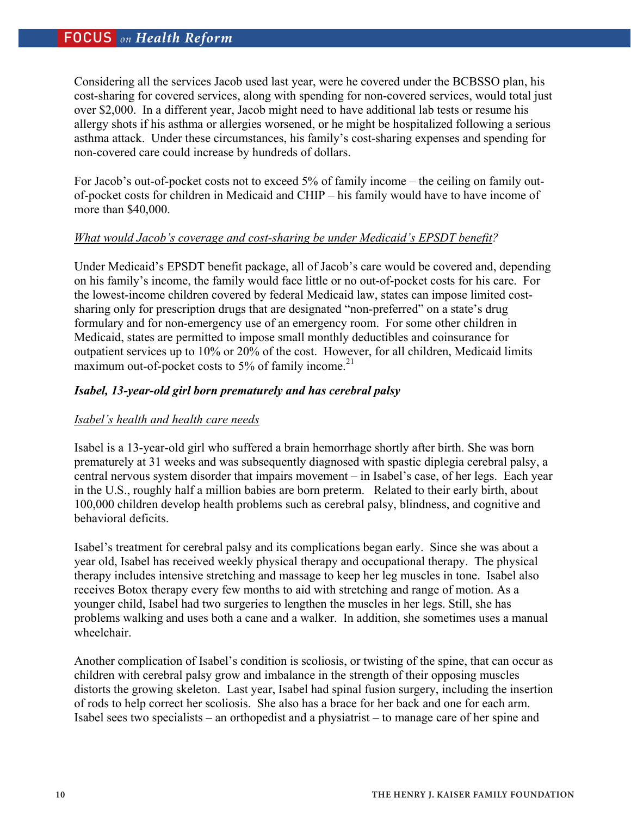Considering all the services Jacob used last year, were he covered under the BCBSSO plan, his cost-sharing for covered services, along with spending for non-covered services, would total just over \$2,000. In a different year, Jacob might need to have additional lab tests or resume his allergy shots if his asthma or allergies worsened, or he might be hospitalized following a serious asthma attack. Under these circumstances, his family's cost-sharing expenses and spending for non-covered care could increase by hundreds of dollars.

For Jacob's out-of-pocket costs not to exceed 5% of family income – the ceiling on family outof-pocket costs for children in Medicaid and CHIP – his family would have to have income of more than \$40,000.

## *What would Jacob's coverage and cost-sharing be under Medicaid's EPSDT benefit?*

Under Medicaid's EPSDT benefit package, all of Jacob's care would be covered and, depending on his family's income, the family would face little or no out-of-pocket costs for his care. For the lowest-income children covered by federal Medicaid law, states can impose limited costsharing only for prescription drugs that are designated "non-preferred" on a state's drug formulary and for non-emergency use of an emergency room. For some other children in Medicaid, states are permitted to impose small monthly deductibles and coinsurance for outpatient services up to 10% or 20% of the cost. However, for all children, Medicaid limits maximum out-of-pocket costs to 5% of family income.<sup>21</sup>

## *Isabel, 13-year-old girl born prematurely and has cerebral palsy*

## *Isabel's health and health care needs*

Isabel is a 13-year-old girl who suffered a brain hemorrhage shortly after birth. She was born prematurely at 31 weeks and was subsequently diagnosed with spastic diplegia cerebral palsy, a central nervous system disorder that impairs movement – in Isabel's case, of her legs. Each year in the U.S., roughly half a million babies are born preterm. Related to their early birth, about 100,000 children develop health problems such as cerebral palsy, blindness, and cognitive and behavioral deficits.

Isabel's treatment for cerebral palsy and its complications began early. Since she was about a year old, Isabel has received weekly physical therapy and occupational therapy. The physical therapy includes intensive stretching and massage to keep her leg muscles in tone. Isabel also receives Botox therapy every few months to aid with stretching and range of motion. As a younger child, Isabel had two surgeries to lengthen the muscles in her legs. Still, she has problems walking and uses both a cane and a walker. In addition, she sometimes uses a manual wheelchair.

Another complication of Isabel's condition is scoliosis, or twisting of the spine, that can occur as children with cerebral palsy grow and imbalance in the strength of their opposing muscles distorts the growing skeleton. Last year, Isabel had spinal fusion surgery, including the insertion of rods to help correct her scoliosis. She also has a brace for her back and one for each arm. Isabel sees two specialists – an orthopedist and a physiatrist – to manage care of her spine and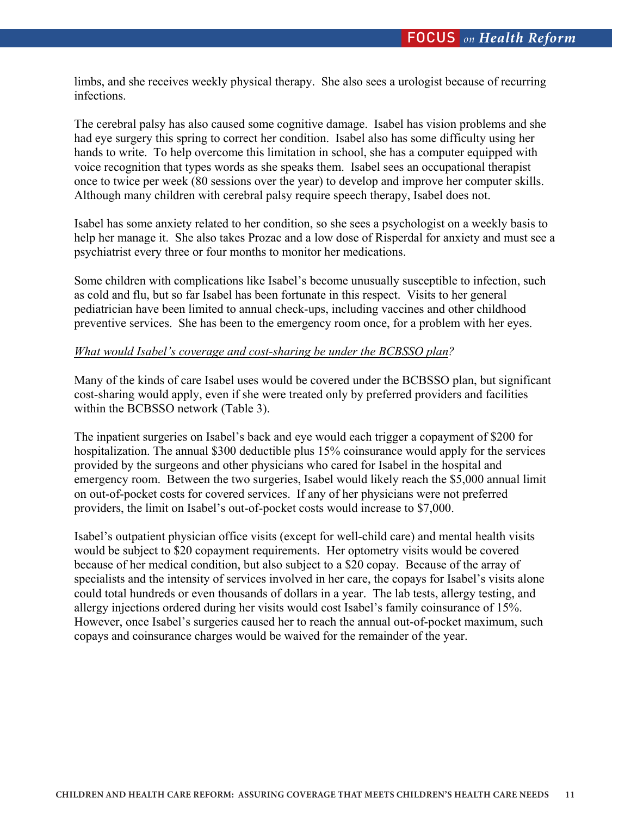limbs, and she receives weekly physical therapy. She also sees a urologist because of recurring infections.

The cerebral palsy has also caused some cognitive damage. Isabel has vision problems and she had eye surgery this spring to correct her condition. Isabel also has some difficulty using her hands to write. To help overcome this limitation in school, she has a computer equipped with voice recognition that types words as she speaks them. Isabel sees an occupational therapist once to twice per week (80 sessions over the year) to develop and improve her computer skills. Although many children with cerebral palsy require speech therapy, Isabel does not.

Isabel has some anxiety related to her condition, so she sees a psychologist on a weekly basis to help her manage it. She also takes Prozac and a low dose of Risperdal for anxiety and must see a psychiatrist every three or four months to monitor her medications.

Some children with complications like Isabel's become unusually susceptible to infection, such as cold and flu, but so far Isabel has been fortunate in this respect. Visits to her general pediatrician have been limited to annual check-ups, including vaccines and other childhood preventive services. She has been to the emergency room once, for a problem with her eyes.

## *What would Isabel's coverage and cost-sharing be under the BCBSSO plan?*

Many of the kinds of care Isabel uses would be covered under the BCBSSO plan, but significant cost-sharing would apply, even if she were treated only by preferred providers and facilities within the BCBSSO network (Table 3).

The inpatient surgeries on Isabel's back and eye would each trigger a copayment of \$200 for hospitalization. The annual \$300 deductible plus 15% coinsurance would apply for the services provided by the surgeons and other physicians who cared for Isabel in the hospital and emergency room. Between the two surgeries, Isabel would likely reach the \$5,000 annual limit on out-of-pocket costs for covered services. If any of her physicians were not preferred providers, the limit on Isabel's out-of-pocket costs would increase to \$7,000.

Isabel's outpatient physician office visits (except for well-child care) and mental health visits would be subject to \$20 copayment requirements. Her optometry visits would be covered because of her medical condition, but also subject to a \$20 copay. Because of the array of specialists and the intensity of services involved in her care, the copays for Isabel's visits alone could total hundreds or even thousands of dollars in a year. The lab tests, allergy testing, and allergy injections ordered during her visits would cost Isabel's family coinsurance of 15%. However, once Isabel's surgeries caused her to reach the annual out-of-pocket maximum, such copays and coinsurance charges would be waived for the remainder of the year.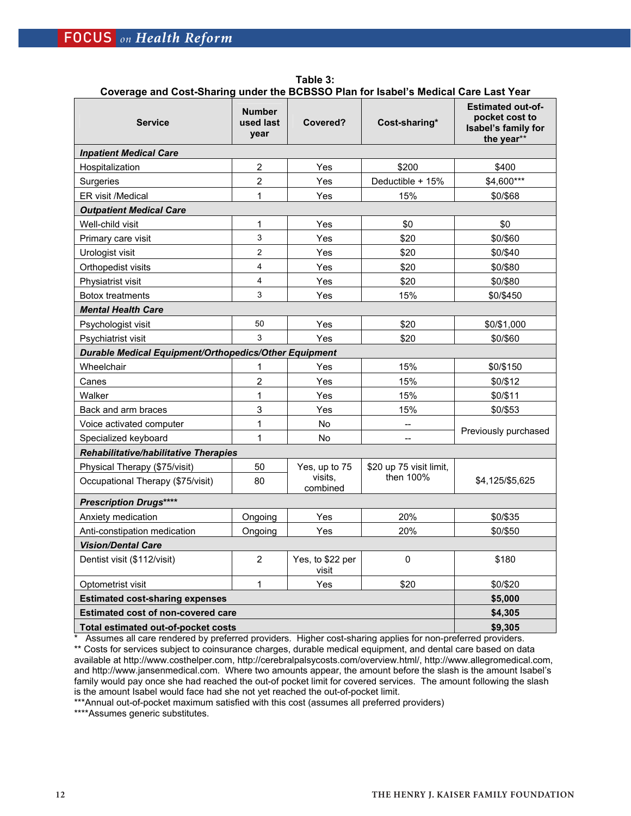**Table 3: Coverage and Cost-Sharing under the BCBSSO Plan for Isabel's Medical Care Last Year**

| <b>Service</b>                                               | <b>Number</b><br>used last<br>vear    | Covered?                  | Cost-sharing*           | <b>Estimated out-of-</b><br>pocket cost to<br>Isabel's family for<br>the year** |  |  |  |  |  |
|--------------------------------------------------------------|---------------------------------------|---------------------------|-------------------------|---------------------------------------------------------------------------------|--|--|--|--|--|
| <b>Inpatient Medical Care</b>                                |                                       |                           |                         |                                                                                 |  |  |  |  |  |
| Hospitalization                                              | $\overline{2}$                        | Yes                       | \$200                   | \$400                                                                           |  |  |  |  |  |
| Surgeries                                                    | $\overline{2}$                        | Yes                       | Deductible + 15%        | \$4,600***                                                                      |  |  |  |  |  |
| <b>ER</b> visit /Medical                                     | 1                                     | Yes                       | 15%                     | \$0/\$68                                                                        |  |  |  |  |  |
| <b>Outpatient Medical Care</b>                               |                                       |                           |                         |                                                                                 |  |  |  |  |  |
| Well-child visit                                             | 1                                     | Yes                       | \$0                     | \$0                                                                             |  |  |  |  |  |
| Primary care visit                                           | 3                                     | Yes                       | \$20                    | \$0/\$60                                                                        |  |  |  |  |  |
| Urologist visit                                              | $\overline{2}$                        | Yes                       | \$20                    | \$0/\$40                                                                        |  |  |  |  |  |
| Orthopedist visits                                           | $\overline{\mathbf{4}}$               | Yes                       | \$20                    | \$0/\$80                                                                        |  |  |  |  |  |
| Physiatrist visit                                            | $\overline{\mathbf{4}}$               | Yes                       | \$20                    | \$0/\$80                                                                        |  |  |  |  |  |
| <b>Botox treatments</b>                                      | 3                                     | Yes                       | 15%                     | \$0/\$450                                                                       |  |  |  |  |  |
| <b>Mental Health Care</b>                                    |                                       |                           |                         |                                                                                 |  |  |  |  |  |
| Psychologist visit                                           | 50                                    | Yes                       | \$20                    | \$0/\$1,000                                                                     |  |  |  |  |  |
| Psychiatrist visit                                           | 3                                     | Yes                       | \$20                    | \$0/\$60                                                                        |  |  |  |  |  |
| <b>Durable Medical Equipment/Orthopedics/Other Equipment</b> |                                       |                           |                         |                                                                                 |  |  |  |  |  |
| Wheelchair                                                   | 1                                     | Yes                       | 15%                     | \$0/\$150                                                                       |  |  |  |  |  |
| Canes                                                        | $\overline{2}$                        | Yes                       | 15%                     | \$0/\$12                                                                        |  |  |  |  |  |
| Walker                                                       | $\mathbf{1}$                          | Yes                       | 15%                     | \$0/\$11                                                                        |  |  |  |  |  |
| Back and arm braces                                          | 3                                     | Yes                       | 15%                     | \$0/\$53                                                                        |  |  |  |  |  |
| Voice activated computer                                     | 1                                     | No                        | $\overline{a}$          | Previously purchased                                                            |  |  |  |  |  |
| Specialized keyboard                                         | $\mathbf{1}$                          | No                        | $\overline{a}$          |                                                                                 |  |  |  |  |  |
|                                                              | Rehabilitative/habilitative Therapies |                           |                         |                                                                                 |  |  |  |  |  |
| Physical Therapy (\$75/visit)                                | 50                                    | Yes, up to 75             | \$20 up 75 visit limit, | \$4,125/\$5,625                                                                 |  |  |  |  |  |
| Occupational Therapy (\$75/visit)                            | 80                                    | visits.<br>combined       | then 100%               |                                                                                 |  |  |  |  |  |
| <b>Prescription Drugs****</b>                                |                                       |                           |                         |                                                                                 |  |  |  |  |  |
| Anxiety medication                                           | Ongoing                               | Yes                       | 20%                     | \$0/\$35                                                                        |  |  |  |  |  |
| Anti-constipation medication                                 | Ongoing                               | Yes                       | 20%                     | \$0/\$50                                                                        |  |  |  |  |  |
| <b>Vision/Dental Care</b>                                    |                                       |                           |                         |                                                                                 |  |  |  |  |  |
| Dentist visit (\$112/visit)                                  | $\overline{2}$                        | Yes, to \$22 per<br>visit | $\mathbf 0$             | \$180                                                                           |  |  |  |  |  |
| Optometrist visit                                            | $\mathbf{1}$                          | Yes                       | \$20                    | \$0/\$20                                                                        |  |  |  |  |  |
| <b>Estimated cost-sharing expenses</b>                       | \$5,000                               |                           |                         |                                                                                 |  |  |  |  |  |
| <b>Estimated cost of non-covered care</b>                    | \$4,305                               |                           |                         |                                                                                 |  |  |  |  |  |
| Total estimated out-of-pocket costs                          | \$9,305                               |                           |                         |                                                                                 |  |  |  |  |  |

\* Assumes all care rendered by preferred providers. Higher cost-sharing applies for non-preferred providers. \*\* Costs for services subject to coinsurance charges, durable medical equipment, and dental care based on data available at http://www.costhelper.com, http://cerebralpalsycosts.com/overview.html/, http://www.allegromedical.com, and http://www.jansenmedical.com. Where two amounts appear, the amount before the slash is the amount Isabel's family would pay once she had reached the out-of pocket limit for covered services. The amount following the slash is the amount Isabel would face had she not yet reached the out-of-pocket limit.

\*\*\*Annual out-of-pocket maximum satisfied with this cost (assumes all preferred providers)

\*\*\*\*Assumes generic substitutes.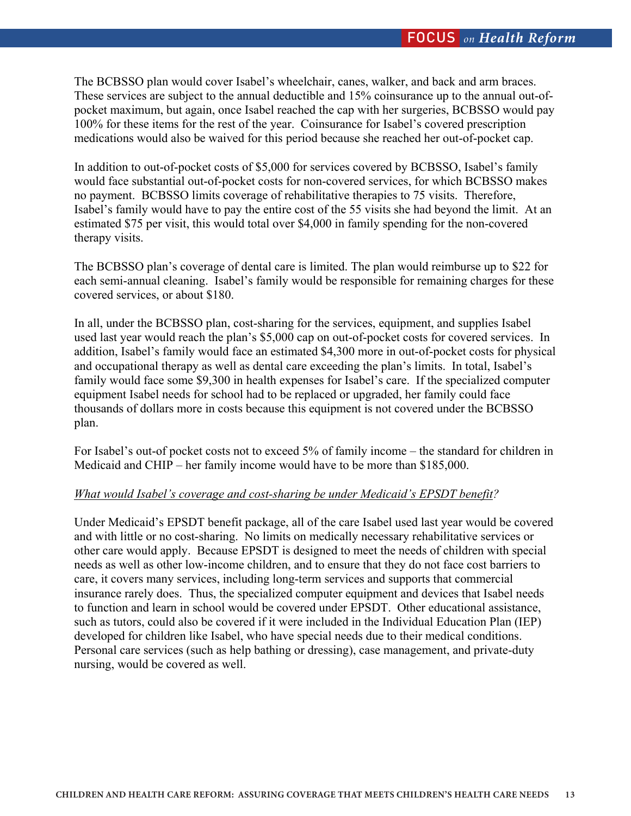The BCBSSO plan would cover Isabel's wheelchair, canes, walker, and back and arm braces. These services are subject to the annual deductible and 15% coinsurance up to the annual out-ofpocket maximum, but again, once Isabel reached the cap with her surgeries, BCBSSO would pay 100% for these items for the rest of the year. Coinsurance for Isabel's covered prescription medications would also be waived for this period because she reached her out-of-pocket cap.

In addition to out-of-pocket costs of \$5,000 for services covered by BCBSSO, Isabel's family would face substantial out-of-pocket costs for non-covered services, for which BCBSSO makes no payment. BCBSSO limits coverage of rehabilitative therapies to 75 visits. Therefore, Isabel's family would have to pay the entire cost of the 55 visits she had beyond the limit. At an estimated \$75 per visit, this would total over \$4,000 in family spending for the non-covered therapy visits.

The BCBSSO plan's coverage of dental care is limited. The plan would reimburse up to \$22 for each semi-annual cleaning. Isabel's family would be responsible for remaining charges for these covered services, or about \$180.

In all, under the BCBSSO plan, cost-sharing for the services, equipment, and supplies Isabel used last year would reach the plan's \$5,000 cap on out-of-pocket costs for covered services. In addition, Isabel's family would face an estimated \$4,300 more in out-of-pocket costs for physical and occupational therapy as well as dental care exceeding the plan's limits. In total, Isabel's family would face some \$9,300 in health expenses for Isabel's care. If the specialized computer equipment Isabel needs for school had to be replaced or upgraded, her family could face thousands of dollars more in costs because this equipment is not covered under the BCBSSO plan.

For Isabel's out-of pocket costs not to exceed 5% of family income – the standard for children in Medicaid and CHIP – her family income would have to be more than \$185,000.

## *What would Isabel's coverage and cost-sharing be under Medicaid's EPSDT benefit?*

Under Medicaid's EPSDT benefit package, all of the care Isabel used last year would be covered and with little or no cost-sharing. No limits on medically necessary rehabilitative services or other care would apply. Because EPSDT is designed to meet the needs of children with special needs as well as other low-income children, and to ensure that they do not face cost barriers to care, it covers many services, including long-term services and supports that commercial insurance rarely does. Thus, the specialized computer equipment and devices that Isabel needs to function and learn in school would be covered under EPSDT. Other educational assistance, such as tutors, could also be covered if it were included in the Individual Education Plan (IEP) developed for children like Isabel, who have special needs due to their medical conditions. Personal care services (such as help bathing or dressing), case management, and private-duty nursing, would be covered as well.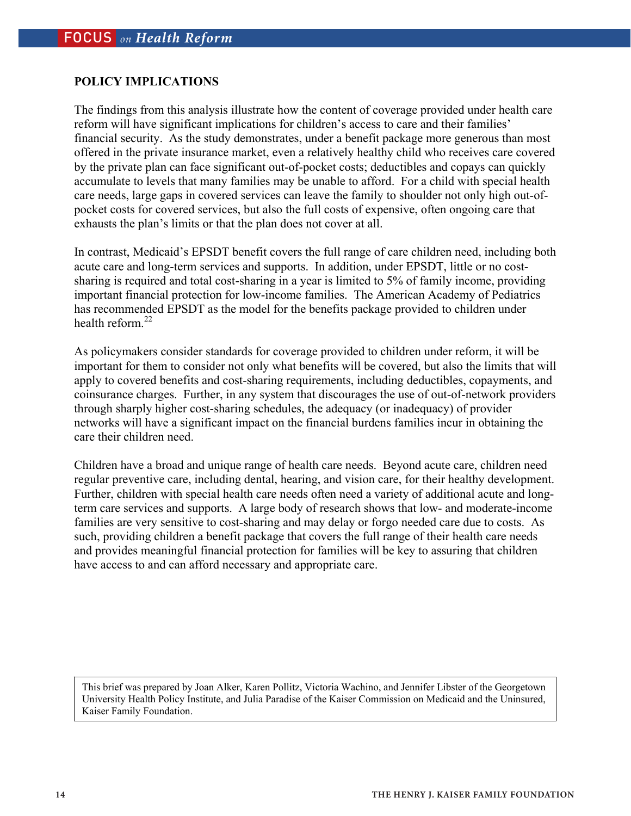## **POLICY IMPLICATIONS**

The findings from this analysis illustrate how the content of coverage provided under health care reform will have significant implications for children's access to care and their families' financial security. As the study demonstrates, under a benefit package more generous than most offered in the private insurance market, even a relatively healthy child who receives care covered by the private plan can face significant out-of-pocket costs; deductibles and copays can quickly accumulate to levels that many families may be unable to afford. For a child with special health care needs, large gaps in covered services can leave the family to shoulder not only high out-ofpocket costs for covered services, but also the full costs of expensive, often ongoing care that exhausts the plan's limits or that the plan does not cover at all.

In contrast, Medicaid's EPSDT benefit covers the full range of care children need, including both acute care and long-term services and supports. In addition, under EPSDT, little or no costsharing is required and total cost-sharing in a year is limited to 5% of family income, providing important financial protection for low-income families. The American Academy of Pediatrics has recommended EPSDT as the model for the benefits package provided to children under health reform. $^{22}$ 

As policymakers consider standards for coverage provided to children under reform, it will be important for them to consider not only what benefits will be covered, but also the limits that will apply to covered benefits and cost-sharing requirements, including deductibles, copayments, and coinsurance charges. Further, in any system that discourages the use of out-of-network providers through sharply higher cost-sharing schedules, the adequacy (or inadequacy) of provider networks will have a significant impact on the financial burdens families incur in obtaining the care their children need.

Children have a broad and unique range of health care needs. Beyond acute care, children need regular preventive care, including dental, hearing, and vision care, for their healthy development. Further, children with special health care needs often need a variety of additional acute and longterm care services and supports. A large body of research shows that low- and moderate-income families are very sensitive to cost-sharing and may delay or forgo needed care due to costs. As such, providing children a benefit package that covers the full range of their health care needs and provides meaningful financial protection for families will be key to assuring that children have access to and can afford necessary and appropriate care.

This brief was prepared by Joan Alker, Karen Pollitz, Victoria Wachino, and Jennifer Libster of the Georgetown University Health Policy Institute, and Julia Paradise of the Kaiser Commission on Medicaid and the Uninsured, Kaiser Family Foundation.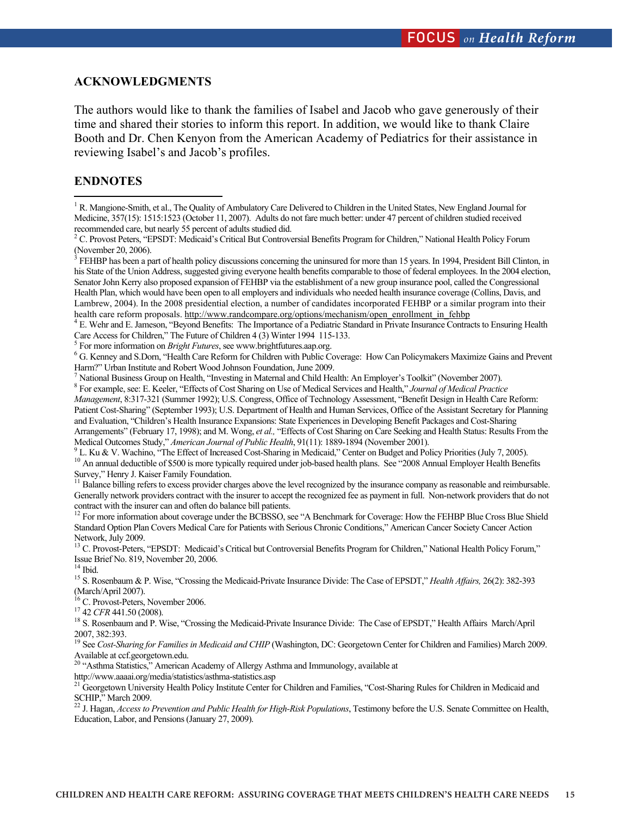### **ACKNOWLEDGMENTS**

The authors would like to thank the families of Isabel and Jacob who gave generously of their time and shared their stories to inform this report. In addition, we would like to thank Claire Booth and Dr. Chen Kenyon from the American Academy of Pediatrics for their assistance in reviewing Isabel's and Jacob's profiles.

### **ENDNOTES**

 FEHBP has been a part of health policy discussions concerning the uninsured for more than 15 years. In 1994, President Bill Clinton, in his State of the Union Address, suggested giving everyone health benefits comparable to those of federal employees. In the 2004 election, Senator John Kerry also proposed expansion of FEHBP via the establishment of a new group insurance pool, called the Congressional Health Plan, which would have been open to all employers and individuals who needed health insurance coverage (Collins, Davis, and Lambrew, 2004). In the 2008 presidential election, a number of candidates incorporated FEHBP or a similar program into their health care reform proposals. http://www.randcompare.org/options/mechanism/open\_enrollment\_in\_fehbp

E. Wehr and E. Jameson, "Beyond Benefits: The Importance of a Pediatric Standard in Private Insurance Contracts to Ensuring Health

Care Access for Children," The Future of Children 4 (3) Winter 1994 115-133.<br>
<sup>5</sup> For more information on *Bright Futures*, see www.brightfutures.aap.org.<br>
<sup>6</sup> G. Kennay and S. Dorn. "Health Care Reform for Children with P

 G. Kenney and S.Dorn, "Health Care Reform for Children with Public Coverage: How Can Policymakers Maximize Gains and Prevent Harm?" Urban Institute and Robert Wood Johnson Foundation, June 2009.

<sup>7</sup> National Business Group on Health, "Investing in Maternal and Child Health: An Employer's Toolkit" (November 2007).

 For example, see: E. Keeler, "Effects of Cost Sharing on Use of Medical Services and Health," *Journal of Medical Practice Management*, 8:317-321 (Summer 1992); U.S. Congress, Office of Technology Assessment, "Benefit Design in Health Care Reform: Patient Cost-Sharing" (September 1993); U.S. Department of Health and Human Services, Office of the Assistant Secretary for Planning and Evaluation, "Children's Health Insurance Expansions: State Experiences in Developing Benefit Packages and Cost-Sharing Arrangements" (February 17, 1998); and M. Wong, *et al.,* "Effects of Cost Sharing on Care Seeking and Health Status: Results From the Medical Outcomes Study," *American Journal of Public Health*, 91(11): 1889-1894 (November 2001).<br><sup>9</sup> L. Ku & V. Wachino, "The Effect of Increased Cost-Sharing in Medicaid," Center on Budget and Policy Priorities (July 7, 2

<sup>10</sup> An annual deductible of \$500 is more typically required under job-based health plans. See "2008 Annual Employer Health Benefits" Survey," Henry J. Kaiser Family Foundation.

<sup>11</sup> Balance billing refers to excess provider charges above the level recognized by the insurance company as reasonable and reimbursable. Generally network providers contract with the insurer to accept the recognized fee as payment in full. Non-network providers that do not contract with the insurer can and often do balance bill patients.<br><sup>12</sup> For more information about coverage under the BCBSSO, see "A Benchmark for Coverage: How the FEHBP Blue Cross Blue Shield

Standard Option Plan Covers Medical Care for Patients with Serious Chronic Conditions," American Cancer Society Cancer Action Network, July 2009.

<sup>13</sup> C. Provost-Peters, "EPSDT: Medicaid's Critical but Controversial Benefits Program for Children," National Health Policy Forum," Issue Brief No. 819, November 20, 2006.

 $^{14}$  Ibid.

15 S. Rosenbaum & P. Wise, "Crossing the Medicaid-Private Insurance Divide: The Case of EPSDT," *Health Affairs,* 26(2): 382-393 (March/April 2007).

<sup>16</sup> C. Provost-Peters, November 2006.<br><sup>17</sup> 42 *CFR* 441.50 (2008).

<sup>18</sup> S. Rosenbaum and P. Wise, "Crossing the Medicaid-Private Insurance Divide: The Case of EPSDT," Health Affairs March/April 2007, 382:393.

<sup>19</sup> See Cost-Sharing for Families in Medicaid and CHIP (Washington, DC: Georgetown Center for Children and Families) March 2009. Available at ccf.georgetown.edu.

<sup>20</sup> "Asthma Statistics," American Academy of Allergy Asthma and Immunology, available at

http://www.aaaai.org/media/statistics/asthma-statistics.asp<br><sup>21</sup> Georgetown University Health Policy Institute Center for Children and Families, "Cost-Sharing Rules for Children in Medicaid and SCHIP," March 2009.

22 J. Hagan, *Access to Prevention and Public Health for High-Risk Populations*, Testimony before the U.S. Senate Committee on Health, Education, Labor, and Pensions (January 27, 2009).

<sup>&</sup>lt;sup>1</sup> R. Mangione-Smith, et al., The Quality of Ambulatory Care Delivered to Children in the United States, New England Journal for Medicine, 357(15): 1515:1523 (October 11, 2007). Adults do not fare much better: under 47 percent of children studied received recommended care, but nearly 55 percent of adults studied did.

<sup>&</sup>lt;sup>2</sup> C. Provost Peters, "EPSDT: Medicaid's Critical But Controversial Benefits Program for Children," National Health Policy Forum (November 20, 2006).<br><sup>3</sup> EEHED bes been a no